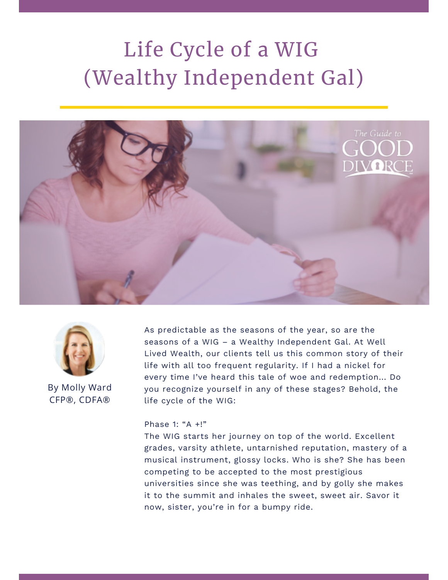# Life Cycle of a WIG (Wealthy Independent Gal)





By Molly Ward CFP®, CDFA®

As predictable as the seasons of the year, so are the seasons of a WIG – a Wealthy Independent Gal. At Well Lived Wealth, our clients tell us this common story of their life with all too frequent regularity. If I had a nickel for every time I've heard this tale of woe and redemption... Do you recognize yourself in any of these stages? Behold, the life cycle of the WIG:

#### Phase 1: "A +!"

The WIG starts her journey on top of the world. Excellent grades, varsity athlete, untarnished reputation, mastery of a musical instrument, glossy locks. Who is she? She has been competing to be accepted to the most prestigious universities since she was teething, and by golly she makes it to the summit and inhales the sweet, sweet air. Savor it now, sister, you're in for a bumpy ride.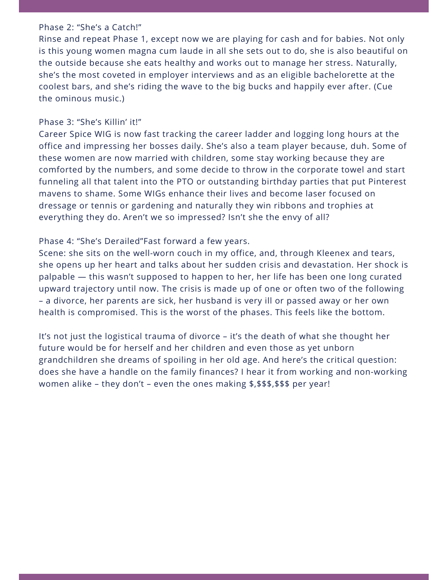#### Phase 2: "She's a Catch!"

Rinse and repeat Phase 1, except now we are playing for cash and for babies. Not only is this young women magna cum laude in all she sets out to do, she is also beautiful on the outside because she eats healthy and works out to manage her stress. Naturally, she's the most coveted in employer interviews and as an eligible bachelorette at the coolest bars, and she's riding the wave to the big bucks and happily ever after. (Cue the ominous music.)

## Phase 3: "She's Killin' it!"

Career Spice WIG is now fast tracking the career ladder and logging long hours at the office and impressing her bosses daily. She's also a team player because, duh. Some of these women are now married with children, some stay working because they are comforted by the numbers, and some decide to throw in the corporate towel and start funneling all that talent into the PTO or outstanding birthday parties that put Pinterest mavens to shame. Some WIGs enhance their lives and become laser focused on dressage or tennis or gardening and naturally they win ribbons and trophies at everything they do. Aren't we so impressed? Isn't she the envy of all?

# Phase 4: "She's Derailed"Fast forward a few years.

Scene: she sits on the well-worn couch in my office, and, through Kleenex and tears, she opens up her heart and talks about her sudden crisis and devastation. Her shock is palpable — this wasn't supposed to happen to her, her life has been one long curated upward trajectory until now. The crisis is made up of one or often two of the following – a divorce, her parents are sick, her husband is very ill or passed away or her own health is compromised. This is the worst of the phases. This feels like the bottom.

It's not just the logistical trauma of divorce – it's the death of what she thought her future would be for herself and her children and even those as yet unborn grandchildren she dreams of spoiling in her old age. And here's the critical question: does she have a handle on the family finances? I hear it from working and non-working women alike – they don't – even the ones making \$,\$\$\$,\$\$\$ per year!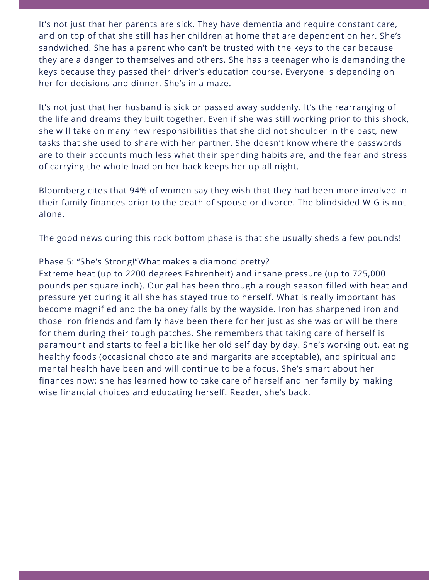It's not just that her parents are sick. They have dementia and require constant care, and on top of that she still has her children at home that are dependent on her. She's sandwiched. She has a parent who can't be trusted with the keys to the car because they are a danger to themselves and others. She has a teenager who is demanding the keys because they passed their driver's education course. Everyone is depending on her for decisions and dinner. She's in a maze.

It's not just that her husband is sick or passed away suddenly. It's the rearranging of the life and dreams they built together. Even if she was still working prior to this shock, she will take on many new responsibilities that she did not shoulder in the past, new tasks that she used to share with her partner. She doesn't know where the passwords are to their accounts much less what their spending habits are, and the fear and stress of carrying the whole load on her back keeps her up all night.

[Bloomberg cites that 94% of women say they wish that they had been more involved in](https://www.bloomberg.com/news/articles/2018-04-13/rise-of-gray-divorce-forces-financial-reckoning-after-50) their family finances prior to the death of spouse or divorce. The blindsided WIG is not alone.

The good news during this rock bottom phase is that she usually sheds a few pounds!

### Phase 5: "She's Strong!"What makes a diamond pretty?

Extreme heat (up to 2200 degrees Fahrenheit) and insane pressure (up to 725,000 pounds per square inch). Our gal has been through a rough season filled with heat and pressure yet during it all she has stayed true to herself. What is really important has become magnified and the baloney falls by the wayside. Iron has sharpened iron and those iron friends and family have been there for her just as she was or will be there for them during their tough patches. She remembers that taking care of herself is paramount and starts to feel a bit like her old self day by day. She's working out, eating healthy foods (occasional chocolate and margarita are acceptable), and spiritual and mental health have been and will continue to be a focus. She's smart about her finances now; she has learned how to take care of herself and her family by making wise financial choices and educating herself. Reader, she's back.